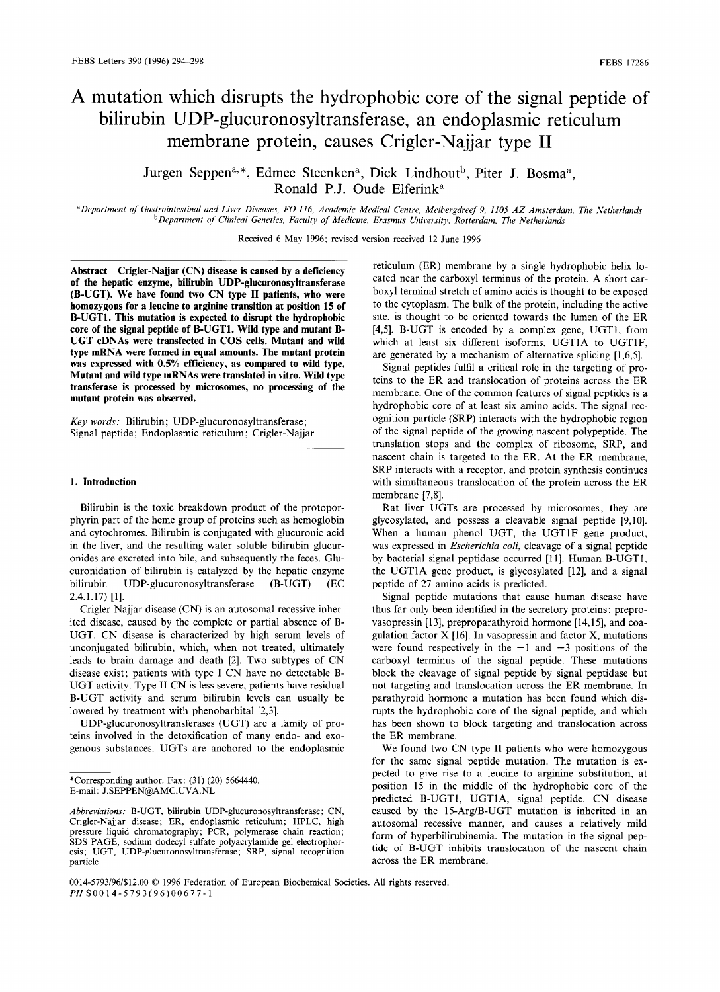# **A mutation which disrupts the hydrophobic core of the signal peptide of bilirubin UDP-glucuronosyltransferase, an endoplasmic reticulum membrane protein, causes Crigler-Najjar type II**

Jurgen Seppen<sup>a,\*</sup>, Edmee Steenken<sup>a</sup>, Dick Lindhout<sup>b</sup>, Piter J. Bosma<sup>a</sup>, Ronald P.J. Oude Elferink<sup>a</sup>

*aDepartment of Gastrointestinal and Liver Diseases, FO-116, Academic Medical Centre, Meibergdreef 9, 1105 AZ Amsterdam, The Netherlands bDepartment of Clinical Genetics, Faculty of Medicine, Erasmus University, Rotterdam, The Netherlands* 

Received 6 May 1996; revised version received 12 June 1996

**Abstract Crigler-Najjar (CN) disease is caused by a deficiency of the hepatic enzyme, bilirubin UDP-glucuronosyltransferase (B-UGT). We have found two CN type II patients, who were homozygous for a leucine to arginine transition at position 15 of B-UGT1. This mutation is expected to disrupt the hydrophobic core of the signal peptide of B-UGT1. Wild type and mutant B-UGT cDNAs were transfected in COS cells. Mutant and wild type mRNA were formed in equal amounts. The mutant protein was expressed with 0.5% efficiency, as compared to wild type. Mutant and wild type mRNAs were translated in vitro. Wild type transferase is processed by microsomes, no processing of the mutant protein was observed.** 

*Key words:* Bilirubin; UDP-glucuronosyltransferase; Signal peptide; Endoplasmic reticulum; Crigler-Najjar

#### **1. Introduction**

Bilirubin is the toxic breakdown product of the protoporphyrin part of the heme group of proteins such as hemoglobin and cytochromes. Bilirubin is conjugated with glucuronic acid in the liver, and the resulting water soluble bilirubin glucuronides are excreted into bile, and subsequently the feces. Glucuronidation of bilirubin is catalyzed by the hepatic enzyme bilirubin UDP-glucuronosyltransferase (B-UGT) (EC 2.4.1.17) [1].

Crigler-Najjar disease (CN) is an autosomal recessive inherited disease, caused by the complete or partial absence of B-UGT. CN disease is characterized by high serum levels of unconjugated bilirubin, which, when not treated, ultimately leads to brain damage and death [2]. Two subtypes of CN disease exist; patients with type I CN have no detectable B-UGT activity. Type II CN is less severe, patients have residual B-UGT activity and serum bilirubin levels can usually be lowered by treatment with phenobarbital [2,3].

UDP-glucuronosyltransferases (UGT) are a family of proteins involved in the detoxification of many endo- and exogenous substances. UGTs are anchored to the endoplasmic reticulum (ER) membrane by a single hydrophobic helix located near the carboxyl terminus of the protein. A short carboxyl terminal stretch of amino acids is thought to be exposed to the cytoplasm. The bulk of the protein, including the active site, is thought to be oriented towards the lumen of the ER [4,5]. B-UGT is encoded by a complex gene, UGT1, from which at least six different isoforms, UGT1A to UGT1F, are generated by a mechanism of alternative splicing [1,6,5].

Signal peptides fulfil a critical role in the targeting of proteins to the ER and translocation of proteins across the ER membrane. One of the common features of signal peptides is a hydrophobic core of at least six amino acids. The signal recognition particle (SRP) interacts with the hydrophobic region of the signal peptide of the growing nascent polypeptide. The translation stops and the complex of ribosome, SRP, and nascent chain is targeted to the ER. At the ER membrane, SRP interacts with a receptor, and protein synthesis continues **with** simultaneous translocation of the protein across the ER membrane [7,8].

Rat liver UGTs are processed by microsomes; they are glycosylated, and possess a cleavable signal peptide [9,10]. When a human phenol UGT, the UGT1F gene product, was expressed in *Escherichia coli,* cleavage of a signal peptide by bacterial signal peptidase occurred [1 I]. Human B-UGT1, the UGT1A gene product, is glycosylated [12], and a signal peptide of 27 amino acids is predicted.

Signal peptide mutations that cause human disease have thus far only been identified in the secretory proteins: preprovasopressin [13], preproparathyroid hormone [14,15], and coagulation factor X [16]. In vasopressin and factor X, mutations were found respectively in the  $-1$  and  $-3$  positions of the carboxyl terminus of the signal peptide. These mutations block the cleavage of signal peptide by signal peptidase but not targeting and translocation across the ER membrane. In parathyroid hormone a mutation has been found which disrupts the hydrophobic core of the signal peptide, and **which**  has been shown to block targeting and translocation across the ER membrane.

We found two CN type II patients who were homozygous for the same signal peptide mutation. The mutation is expected to give rise to a leucine to arginine substitution, at position 15 in the middle of the hydrophobic core of the predicted B-UGT1, UGT1A, signal peptide. CN disease caused by the 15-Arg/B-UGT mutation is inherited in an autosomal recessive manner, and causes a relatively mild form of hyperbilirubinemia. The mutation in the signal peptide of B-UGT inhibits translocation of the nascent chain across the ER membrane.

<sup>\*</sup>Corresponding author. Fax: (31) (20) 5664440. E-mail: J.SEPPEN@AMC.UVA.NL

*Abbreviations:* B-UGT, bilirubin UDP-glucuronosyltransferase; CN, Crigler-Najjar disease; ER, endoplasmic reticulum; HPLC, high pressure liquid chromatography; PCR, polymerase chain reaction; SDS PAGE, sodium dodecyl sulfate polyacrylamide gel electrophoresis; UGT, UDP-glucuronosyltransferase; SRP, signal recognition particle

<sup>0014-5793/96/\$12.00 © 1996</sup> Federation of European Biochemical Societies. All rights reserved. *PH* SO0 1 4-5793(96)00677- 1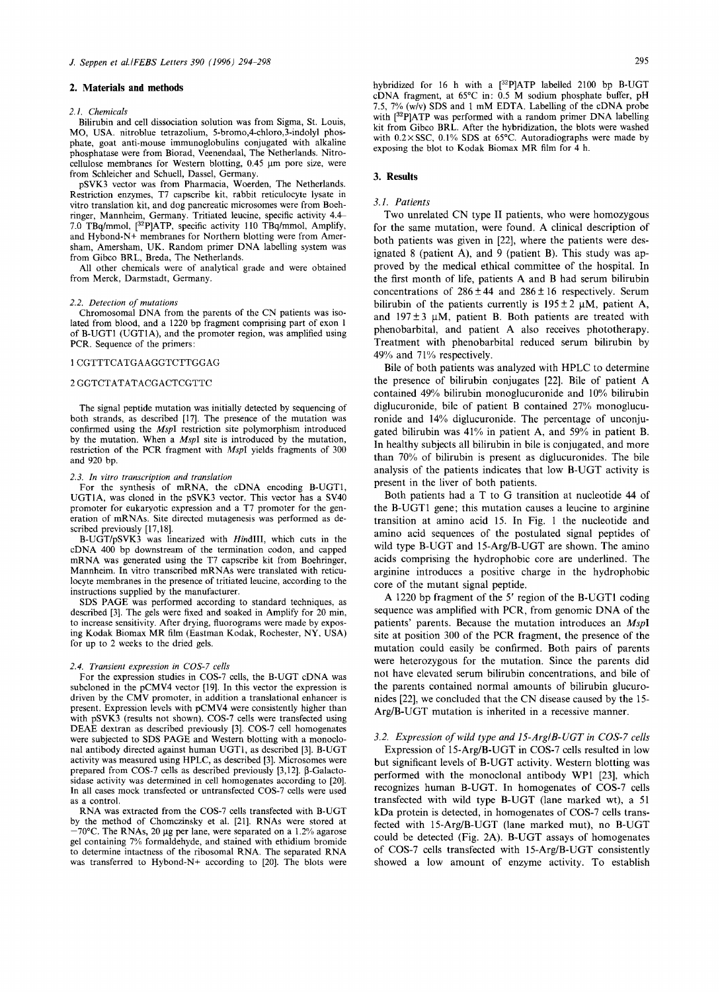### **2. Materials and methods**

#### *2.1. Chemicals*

Bilirubin and cell dissociation solution was from Sigma, St. Louis, MO, USA. nitroblue tetrazolium, 5-bromo,4-chloro,3-indolyl phosphate, goat anti-mouse immunoglobulins conjugated with alkaline phosphatase were from Biorad, Veenendaal, The Netherlands. Nitrocellulose membranes for Western blotting,  $0.45 \mu m$  pore size, were from Schleicher and Schuell, Dassel, Germany.

pSVK3 vector was from Pharmacia, Woerden, The Netherlands. Restriction enzymes, T7 capscribe kit, rabbit reticulocyte lysate in vitro translation kit, and dog pancreatic microsomes were from Boehringer, Mannheim, Germany. Tritiated leucine, specific activity 4.4~ 7.0 TBq/mmol, [32p]ATP, specific activity 110 TBq/mmol, Amplify, and Hybond-N+ membranes for Northern blotting were from Amersham, Amersham, UK. Random primer DNA labelling system was from Gibco BRL, Breda, The Netherlands.

All other chemicals were of analytical grade and were obtained from Merck, Darmstadt, Germany.

#### *2.2. Detection of mutations*

Chromosomal DNA from the parents of the CN patients was isolated from blood, and a 1220 bp fragment comprising part of exon 1 of B-UGT1 (UGT1A), and the promoter region, was amplified using PCR. Sequence of the primers:

#### 1CGTTTCATGAAGGTCTTGGAG

#### 2GGTCTATATACGACTCGTTC

The signal peptide mutation was initially detected by sequencing of both strands, as described [17]. The presence of the mutation was confirmed using the *MspI* restriction site polymorphism introduced by the mutation. When a *MspI* site is introduced by the mutation, restriction of the PCR fragment with *MspI* yields fragments of 300 and 920 bp.

#### *2.3. In vitro transcription and translation*

For the synthesis of mRNA, the cDNA encoding B-UGT1, UGT1A, was cloned in the pSVK3 vector. This vector has a SV40 promoter for eukaryotic expression and a T7 promoter for the generation of mRNAs. Site directed mutagenesis was performed as described previously [17,18].

B-UGT/pSVK3 was linearized with *HindlII,* which cuts in the cDNA 400 bp downstream of the termination codon, and capped mRNA was generated using the T7 capscribe kit from Boehringer, Mannheim. In vitro transcribed mRNAs were translated with reticulocyte membranes in the presence of tritiated leucine, according to the instructions supplied by the manufacturer.

SDS PAGE was performed according to standard techniques, as described [3]. The gels were fixed and soaked in Amplify for 20 min, to increase sensitivity. After drying, fluorograms were made by exposing Kodak Biomax MR film (Eastman Kodak, Rochester, NY, USA) for up to 2 weeks to the dried gels.

#### *2.4. Transient expression in COS-7 cells*

For the expression studies in COS-7 cells, the B-UGT cDNA was subcloned in the pCMV4 vector [19]. In this vector the expression is driven by the CMV promoter, in addition a translational enhancer is present. Expression levels with pCMV4 were consistently higher than with pSVK3 (results not shown). COS-7 cells were transfected using DEAE dextran as described previously [3]. COS-7 cell homogenates were subjected to SDS PAGE and Western blotting with a monoclohal antibody directed against human UGT1, as described [3]. B-UGT activity was measured using HPLC, as described [3]. Microsomes were prepared from COS-7 cells as described previously  $[3,12]$ .  $\beta$ -Galactosidase activity was determined in cell homogenates according to [20]. In all cases mock transfected or untransfected COS-7 cells were used as a control.

RNA was extracted from the COS-7 cells transfected with B-UGT by the method of Chomczinsky et al. [21]. RNAs were stored at  $-70^{\circ}$ C. The RNAs, 20 µg per lane, were separated on a 1.2% agarose gel containing 7% formaldehyde, and stained with ethidium bromide to determine intactness of the ribosomal RNA. The separated RNA was transferred to Hybond-N+ according to [20]. The blots were hybridized for 16 h with a [32P]ATP labelled 2100 bp B-UGT cDNA fragment, at 65°C in: 0.5 M sodium phosphate buffer, pH 7.5, 7% (w/v) SDS and 1 mM EDTA. Labelling of the eDNA probe with  $[32P]$ ATP was performed with a random primer DNA labelling kit from Gibco BRL. After the hybridization, the blots were washed with 0.2× SSC, 0.1% SDS at 65°C. Autoradiographs were made by exposing the blot to Kodak Biomax MR film for 4 h.

## **3. Results**

## *3.1. Patients*

Two unrelated CN type II patients, who were homozygous for the same mutation, were found. A clinical description of both patients was given in [22], where the patients were designated 8 (patient A), and 9 (patient B). This study was approved by the medical ethical committee of the hospital. In the first month of life, patients A and B had serum bilirubin concentrations of  $286 \pm 44$  and  $286 \pm 16$  respectively. Serum bilirubin of the patients currently is  $195 \pm 2 \mu M$ , patient A, and  $197 \pm 3$  µM, patient B. Both patients are treated with phenobarbital, and patient A also receives phototherapy. Treatment with phenobarbital reduced serum bilirubin by 49% and 71% respectively.

Bile of both patients was analyzed with HPLC to determine the presence of bilirubin conjugates [22]. Bile of patient A contained 49% bilirubin monoglucuronide and 10% bilirubin diglucuronide, bile of patient B contained 27% monoglucuronide and 14% diglucuronide. The percentage of unconjugated bilirubin was 41% in patient A, and 59% in patient B. In healthy subjects all bilirubin in bile is conjugated, and more than 70% of bilirubin is present as diglucuronides. The bile analysis of the patients indicates that low B-UGT activity is present in the liver of both patients.

Both patients had a T to G transition at nucleotide 44 of the B-UGT1 gene; this mutation causes a leucine to arginine transition at amino acid 15. In Fig. 1 the nucleotide and amino acid sequences of the postulated signal peptides of wild type B-UGT and 15-Arg/B-UGT are shown. The amino acids comprising the hydrophobic core are underlined. The arginine introduces a positive charge in the hydrophobic core of the mutant signal peptide.

A 1220 bp fragment of the 5' region of the B-UGT1 coding sequence was amplified with PCR, from genomic DNA of the patients' parents. Because the mutation introduces an *MspI*  site at position 300 of the PCR fragment, the presence of the mutation could easily be confirmed. Both pairs of parents were heterozygous for the mutation. Since the parents did not have elevated serum bilirubin concentrations, and bile of the parents contained normal amounts of bilirubin glucuronides [22], we concluded that the CN disease caused by the 15- Arg/B-UGT mutation is inherited in a recessive manner.

# *3.2. Expression of wild type and 15-Arg/B-UGT in COS-7 cells*

Expression of 15-Arg/B-UGT in COS-7 cells resulted in low but significant levels of B-UGT activity. Western blotting was performed with the monoclonal antibody WP1 [23], which recognizes human B-UGT. In homogenates of COS-7 cells transfeeted with wild type B-UGT (lane marked wt), a 51 kDa protein is detected, in homogenates of COS-7 cells transfected with 15-Arg/B-UGT (lane marked mut), no B-UGT could be detected (Fig. 2A). B-UGT assays of homogenates of COS-7 cells transfected with 15-Arg/B-UGT consistently showed a low amount of enzyme activity. To establish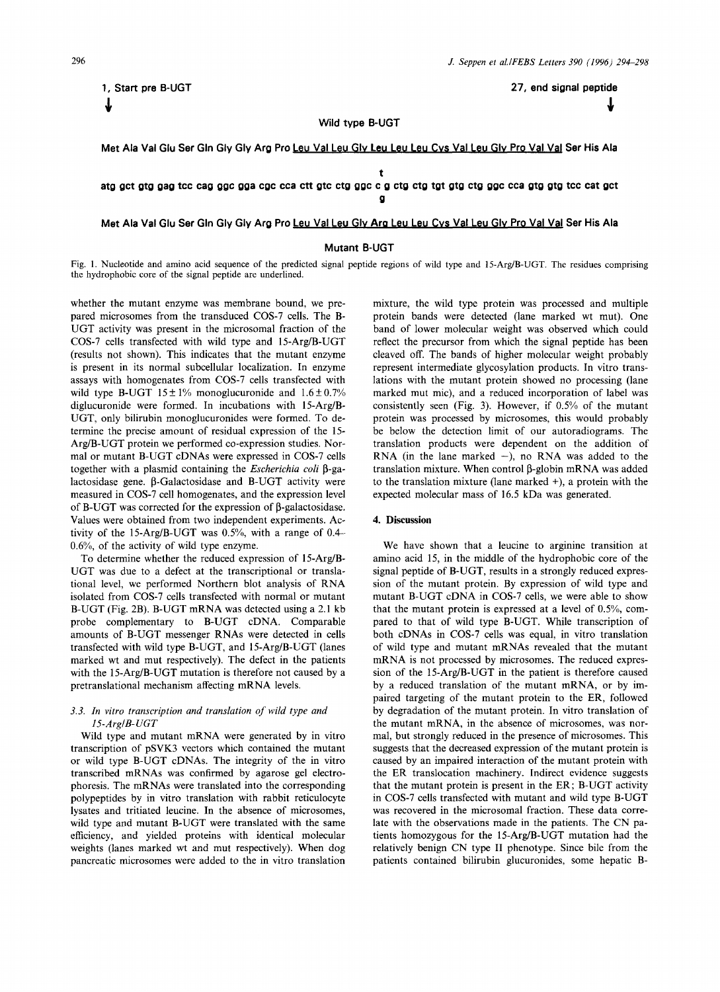**\$ \$** 

**1, Start pre B-UGT 27, end signal peptide** 

# **Wild type B-UGT**

**Met Ala Val Glu Ser Gin Gly Gly Arg Pro Leu Val Leu GIv Leu Leu Leu Cvs Val Leu GIv Pro Val Val Sar His Ala** 

**atg gct gtg gag tcc cag ggc gga cgc cca ctt gtc ctg ggc c g ctg ctg tgt gtg ctg ggc cca gtg gtg tcc cat gct** 

**g** 

**t** 

# **Met Ala Val Glu Ser Gin Gly Gly Arg Pro Leu Val Leu GIv Arg Leu Leu Cvs Val Leu GIv Pro Val Val Ser His Ala**

# **Mutant B-UGT**

Fig. 1. Nucleotide and amino acid sequence of the predicted signal peptide regions of wild type and 15-Arg/B-UGT. The residues comprising the hydrophobic core of the signal peptide are underlined.

whether the mutant enzyme was membrane bound, we prepared microsomes from the transduced COS-7 cells. The B-UGT activity was present in the microsomal fraction of the COS-7 cells transfected with wild type and 15-Arg/B-UGT (results not shown). This indicates that the mutant enzyme is present in its normal subcellular localization. In enzyme assays with homogenates from COS-7 cells transfected with wild type B-UGT  $15 \pm 1\%$  monoglucuronide and  $1.6 \pm 0.7\%$ diglucuronide were formed. In incubations with 15-Arg/B-UGT, only bilirubin monoglucuronides were formed. To determine the precise amount of residual expression of the 15- Arg/B-UGT protein we performed co-expression studies. Normal or mutant B-UGT cDNAs were expressed in COS-7 cells together with a plasmid containing the *Escherichia coli*  $\beta$ -galactosidase gene.  $\beta$ -Galactosidase and B-UGT activity were measured in COS-7 cell homogenates, and the expression level of B-UGT was corrected for the expression of  $\beta$ -galactosidase. Values were obtained from two independent experiments. Activity of the 15-Arg/B-UGT was  $0.5\%$ , with a range of 0.4--0.6%, of the activity of wild type enzyme.

To determine whether the reduced expression of 15-Arg/B-UGT was due to a defect at the transcriptional or translational level, we performed Northern blot analysis of RNA isolated from COS-7 cells transfected with normal or mutant B-UGT (Fig. 2B). B-UGT mRNA was detected using a 2.1 kb probe complementary to B-UGT cDNA. Comparable amounts of B-UGT messenger RNAs were detected in cells transfected with wild type B-UGT, and 15-Arg/B-UGT (lanes marked wt and mut respectively). The defect in the patients with the 15-Arg/B-UGT mutation is therefore not caused by a pretranslational mechanism affecting mRNA levels.

# *3.3. In vitro transcription and translation of wild type and 15-Arg/B-UGT*

Wild type and mutant mRNA were generated by in vitro transcription of pSVK3 vectors which contained the mutant or wild type B-UGT cDNAs. The integrity of the in vitro transcribed mRNAs was confirmed by agarose gel electrophoresis. The mRNAs were translated into the corresponding polypeptides by in vitro translation with rabbit reticulocyte lysates and tritiated leucine. In the absence of microsomes, wild type and mutant B-UGT were translated with the same efficiency, and yielded proteins with identical molecular weights (lanes marked wt and mut respectively). When dog pancreatic microsomes were added to the in vitro translation

mixture, the wild type protein was processed and multiple protein bands were detected (lane marked wt mut). One band of lower molecular weight was observed which could reflect the precursor from which the signal peptide has been cleaved off. The bands of higher molecular weight probably represent intermediate glycosylation products. In vitro translations with the mutant protein showed no processing (lane marked mut mic), and a reduced incorporation of label was consistently seen (Fig. 3). However, if 0.5% of the mutant protein was processed by microsomes, this would probably be below the detection limit of our autoradiograms. The translation products were dependent on the addition of RNA (in the lane marked  $-$ ), no RNA was added to the translation mixture. When control  $\beta$ -globin mRNA was added to the translation mixture (lane marked +), a protein with the expected molecular mass of 16.5 kDa was generated.

# **4. Discussion**

We have shown that a leucine to arginine transition at amino acid 15, in the middle of the hydrophobic core of the signal peptide of B-UGT, results in a strongly reduced expression of the mutant protein. By expression of wild type and mutant B-UGT eDNA in COS-7 cells, we were able to show that the mutant protein is expressed at a level of 0.5%, compared to that of wild type B-UGT. While transcription of both cDNAs in COS-7 ceils was equal, in vitro translation of wild type and mutant mRNAs revealed that the mutant mRNA is not processed by microsomes. The reduced expression of the 15-Arg/B-UGT in the patient is therefore caused by a reduced translation of the mutant mRNA, or by impaired targeting of the mutant protein to the ER, followed by degradation of the mutant protein. In vitro translation of the mutant mRNA, in the absence of microsomes, was normal, but strongly reduced in the presence of microsomes. This suggests that the decreased expression of the mutant protein is caused by an impaired interaction of the mutant protein with the ER translocation machinery. Indirect evidence suggests that the mutant protein is present in the ER; B-UGT activity in COS-7 cells transfected with mutant and wild type B-UGT was recovered in the microsomal fraction. These data correlate with the observations made in the patients. The CN patients homozygous for the 15-Arg/B-UGT mutation had the relatively benign CN type II phenotype. Since bile from the patients contained bilirubin glucuronides, some hepatic **B-**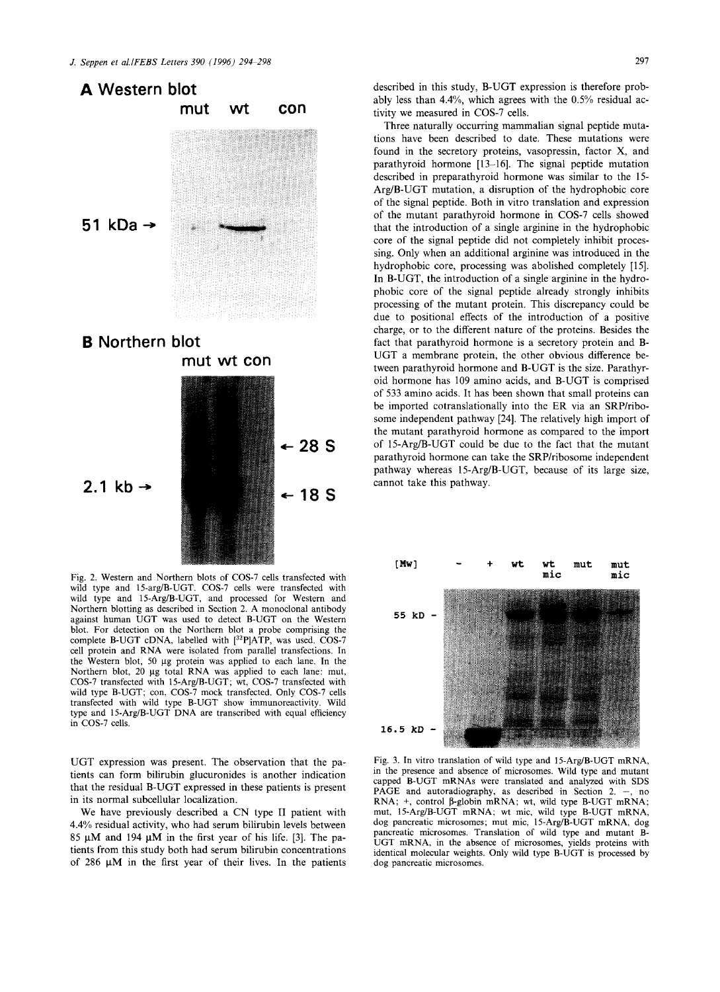

Fig. 2. Western and Northern blots of COS-7 ceils transfected with wild type and 15-arg/B-UGT. COS-7 cells were transfected with wild type and 15-Arg/B-UGT, and processed for Western and Northern blotting as described in Section 2. A monoclonal antibody against human UGT was used to detect B-UGT on the Western blot. For detection on the Northern blot a probe comprising the complete B-UGT cDNA, labelled with [32P]ATP, was used. COS-7 cell protein and RNA were isolated from parallel transfections. In the Western blot, 50 µg protein was applied to each lane. In the Northern blot, 20 µg total RNA was applied to each lane: mut, COS-7 transfected with 15-Arg/B-UGT; wt, COS-7 transfected with wild type B-UGT; con, COS-7 mock transfected. Only COS-7 cells transfected with wild type B-UGT show immunoreactivity. Wild type and 15-Arg/B-UGT DNA are transcribed with equal efficiency in COS-7 cells.

**\*-18S** 

2.1 kb  $\rightarrow$ 

UGT expression was present. The observation that the patients can form bilirubin glucuronides is another indication that the residual B-UGT expressed in these patients is present in its normal subcellular localization.

We have previously described a CN type II patient with 4.4% residual activity, who had serum bilirubin levels between 85  $\mu$ M and 194  $\mu$ M in the first year of his life. [3]. The patients from this study both had serum bilirubin concentrations of 286  $\mu$ M in the first year of their lives. In the patients described in this study, B-UGT expression is therefore probably less than 4.4%, which agrees with the 0.5% residual activity we measured in COS-7 cells.

Three naturally occurring mammalian signal peptide mutations have been described to date. These mutations were found in the secretory proteins, vasopressin, factor X, and parathyroid hormone [13-16]. The signal peptide mutation described in preparathyroid hormone was similar to the 15- Arg/B-UGT mutation, a disruption of the hydrophobic core of the signal peptide. Both in vitro translation and expression of the mutant parathyroid hormone in COS-7 cells showed that the introduction of a single arginine in the hydrophobic core of the signal peptide did not completely inhibit processing. Only when an additional arginine was introduced in the hydrophobic core, processing was abolished completely [15]. In B-UGT, the introduction of a single arginine in the hydrophobic core of the signal peptide already strongly inhibits processing of the mutant protein. This discrepancy could be due to positional effects of the introduction of a positive charge, or to the different nature of the proteins. Besides the fact that parathyroid hormone is a secretory protein and B-UGT a membrane protein, the other obvious difference between parathyroid hormone and B-UGT is the size. Parathyroid hormone has 109 amino acids, and B-UGT is comprised of 533 amino acids. It has been shown that small proteins can be imported cotranslationally into the ER via an SRP/ribosome independent pathway [24]. The relatively high import of the mutant parathyroid hormone as compared to the import of 15-Arg/B-UGT could be due to the fact that the mutant parathyroid hormone can take the SRP/ribosome independent pathway whereas 15-Arg/B-UGT, because of its large size, cannot take this pathway.



Fig. 3. In vitro translation of wild type and 15-Arg/B-UGT mRNA, in the presence and absence of microsomes. Wild type and mutant capped B-UGT mRNAs were translated and analyzed with SDS PAGE and autoradiography, as described in Section 2.  $-$ , no RNA;  $+$ , control  $\beta$ -globin mRNA; wt, wild type B-UGT mRNA; mut, 15-Arg/B-UGT mRNA; wt mic, wild type B-UGT mRNA, dog pancreatic microsomes; mut mic, 15-Arg/B-UGT mRNA, dog pancreatic microsomes. Translation of wild type and mutant B-UGT mRNA, in the absence of microsomes, yields proteins with identical molecular weights. Only wild type B-UGT is processed by dog pancreatic microsomes.